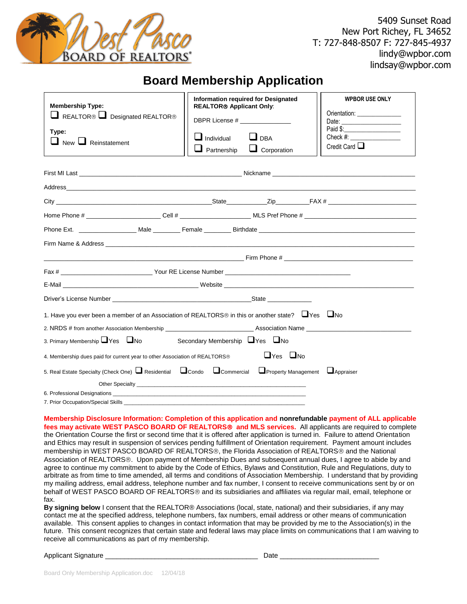

## **Board Membership Application**

| <b>Membership Type:</b><br>REALTOR <sup>®</sup> Designated REALTOR <sup>®</sup><br>Type:<br>$\Box$ New $\Box$ Reinstatement                                                                                                   | <b>Information required for Designated</b><br><b>REALTOR® Applicant Only:</b><br>DBPR License # ________________<br>$\Box$ Individual<br>$\blacksquare$ Partnership | $\Box$ DBA<br>$\Box$ Corporation | <b>WPBOR USE ONLY</b><br>Orientation: ________________<br>Check #:<br>Credit Card $\Box$ |
|-------------------------------------------------------------------------------------------------------------------------------------------------------------------------------------------------------------------------------|---------------------------------------------------------------------------------------------------------------------------------------------------------------------|----------------------------------|------------------------------------------------------------------------------------------|
|                                                                                                                                                                                                                               |                                                                                                                                                                     |                                  |                                                                                          |
|                                                                                                                                                                                                                               |                                                                                                                                                                     |                                  |                                                                                          |
|                                                                                                                                                                                                                               |                                                                                                                                                                     |                                  |                                                                                          |
|                                                                                                                                                                                                                               |                                                                                                                                                                     |                                  |                                                                                          |
|                                                                                                                                                                                                                               |                                                                                                                                                                     |                                  |                                                                                          |
|                                                                                                                                                                                                                               |                                                                                                                                                                     |                                  |                                                                                          |
| <b>Example 19 The Phone 24 The Service 2018 Contract 2018 Contract 2019 Contract 2019 Contract 2019 Contract 2019</b>                                                                                                         |                                                                                                                                                                     |                                  |                                                                                          |
|                                                                                                                                                                                                                               |                                                                                                                                                                     |                                  |                                                                                          |
| E-Mail League and Contract and Contract and Contract and Contract and Contract and Contract and Contract and Contract and Contract and Contract and Contract and Contract and Contract and Contract and Contract and Contract |                                                                                                                                                                     |                                  |                                                                                          |
|                                                                                                                                                                                                                               |                                                                                                                                                                     |                                  |                                                                                          |
| 1. Have you ever been a member of an Association of REALTORS <sup>®</sup> in this or another state? $\Box$ Yes $\Box$ No                                                                                                      |                                                                                                                                                                     |                                  |                                                                                          |
| 2. NRDS # from another Association Membership _________________________________Association Name ______________                                                                                                                |                                                                                                                                                                     |                                  |                                                                                          |
| 3. Primary Membership Yes No<br>Secondary Membership UYes UNo                                                                                                                                                                 |                                                                                                                                                                     |                                  |                                                                                          |
| $\Box$ Yes $\Box$ No<br>4. Membership dues paid for current year to other Association of REALTORS®                                                                                                                            |                                                                                                                                                                     |                                  |                                                                                          |
| 5. Real Estate Specialty (Check One) $\Box$ Residential $\Box$ Condo $\Box$ Commercial $\Box$ Property Management $\Box$ Appraiser                                                                                            |                                                                                                                                                                     |                                  |                                                                                          |
|                                                                                                                                                                                                                               |                                                                                                                                                                     |                                  |                                                                                          |
| 7. Prior Occupation/Special Skills <b>Example 2006</b>                                                                                                                                                                        |                                                                                                                                                                     |                                  |                                                                                          |
|                                                                                                                                                                                                                               |                                                                                                                                                                     |                                  |                                                                                          |

**Membership Disclosure Information: Completion of this application and nonrefundable payment of ALL applicable fees may activate WEST PASCO BOARD OF REALTORS and MLS services.** All applicants are required to complete the Orientation Course the first or second time that it is offered after application is turned in. Failure to attend Orientation and Ethics may result in suspension of services pending fulfillment of Orientation requirement. Payment amount includes membership in WEST PASCO BOARD OF REALTORS<sup>®</sup>, the Florida Association of REALTORS<sup>®</sup> and the National Association of REALTORS®. Upon payment of Membership Dues and subsequent annual dues, I agree to abide by and agree to continue my commitment to abide by the Code of Ethics, Bylaws and Constitution, Rule and Regulations, duty to arbitrate as from time to time amended, all terms and conditions of Association Membership. I understand that by providing my mailing address, email address, telephone number and fax number, I consent to receive communications sent by or on behalf of WEST PASCO BOARD OF REALTORS<sup>®</sup> and its subsidiaries and affiliates via regular mail, email, telephone or fax.

**By signing below** I consent that the REALTOR® Associations (local, state, national) and their subsidiaries, if any may contact me at the specified address, telephone numbers, fax numbers, email address or other means of communication available. This consent applies to changes in contact information that may be provided by me to the Association(s) in the future. This consent recognizes that certain state and federal laws may place limits on communications that I am waiving to receive all communications as part of my membership.

## Applicant Signature \_\_\_\_\_\_\_\_\_\_\_\_\_\_\_\_\_\_\_\_\_\_\_\_\_\_\_\_\_\_\_\_\_\_\_\_\_\_\_\_ Date \_\_\_\_\_\_\_\_\_\_\_\_\_\_\_\_\_\_\_\_\_\_\_\_\_\_